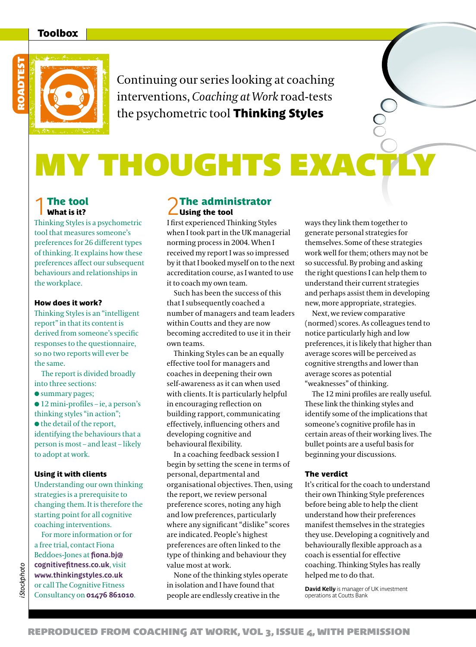# Toolbox



Continuing our series looking at coaching interventions, *Coaching at Work* road-tests the psychometric tool Thinking Styles

# **MY THOUGHTS EXACTI**

# **1**The tool What is it?

Thinking Styles is a psychometric tool that measures someone's preferences for 26 different types of thinking. It explains how these preferences affect our subsequent behaviours and relationships in the workplace.

### How does it work?

Thinking Styles is an "intelligent report" in that its content is derived from someone's specific responses to the questionnaire, so no two reports will ever be the same.

The report is divided broadly into three sections:

 $\bullet$  summary pages;

 $\bullet$  12 mini-profiles – ie, a person's thinking styles "in action";  $\bullet$  the detail of the report, identifying the behaviours that a person is most – and least – likely to adopt at work.

#### Using it with clients

Understanding our own thinking strategies is a prerequisite to changing them. It is therefore the starting point for all cognitive coaching interventions.

For more information or for a free trial, contact Fiona Beddoes-Jones at **fiona.bj@ cognitivefitness.co.uk**, visit **www.thinkingstyles.co.uk**  or call The Cognitive Fitness Consultancy on **01476 861010**.

# **2**The administrator Using the tool

I first experienced Thinking Styles when I took part in the UK managerial norming process in 2004. When I received my report I was so impressed by it that I booked myself on to the next accreditation course, as I wanted to use it to coach my own team.

Such has been the success of this that I subsequently coached a number of managers and team leaders within Coutts and they are now becoming accredited to use it in their own teams.

Thinking Styles can be an equally effective tool for managers and coaches in deepening their own self-awareness as it can when used with clients. It is particularly helpful in encouraging reflection on building rapport, communicating effectively, influencing others and developing cognitive and behavioural flexibility.

In a coaching feedback session I begin by setting the scene in terms of personal, departmental and organisational objectives. Then, using the report, we review personal preference scores, noting any high and low preferences, particularly where any significant "dislike" scores are indicated. People's highest preferences are often linked to the type of thinking and behaviour they value most at work.

None of the thinking styles operate in isolation and I have found that people are endlessly creative in the

ways they link them together to generate personal strategies for themselves. Some of these strategies work well for them; others may not be so successful. By probing and asking the right questions I can help them to understand their current strategies and perhaps assist them in developing new, more appropriate, strategies.

Next, we review comparative (normed) scores. As colleagues tend to notice particularly high and low preferences, it is likely that higher than average scores will be perceived as cognitive strengths and lower than average scores as potential "weaknesses" of thinking.

The 12 mini profiles are really useful. These link the thinking styles and identify some of the implications that someone's cognitive profile has in certain areas of their working lives. The bullet points are a useful basis for beginning your discussions.

#### The verdict

It's critical for the coach to understand their own Thinking Style preferences before being able to help the client understand how their preferences manifest themselves in the strategies they use. Developing a cognitively and behaviourally flexible approach as a coach is essential for effective coaching. Thinking Styles has really helped me to do that.

**David Kelly is manager of UK investment operations at Coutts Bank**